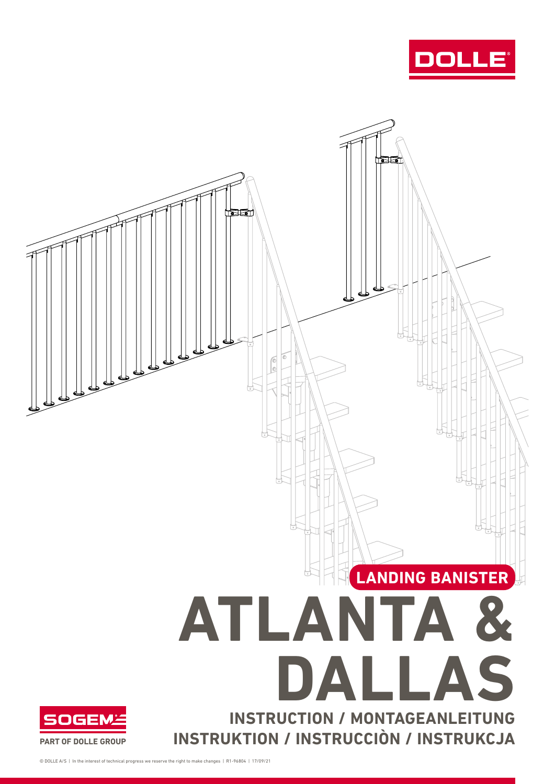



© DOLLE A/S | In the interest of technical progress we reserve the right to make changes | R1-96804 | 17/09/21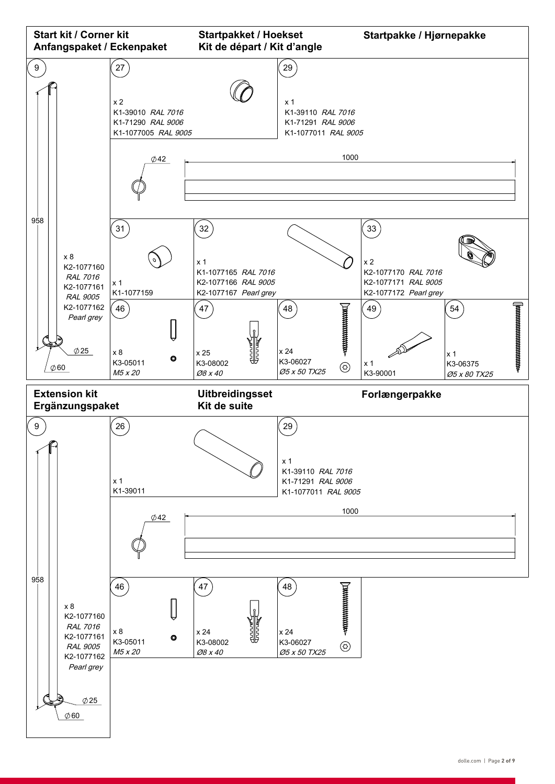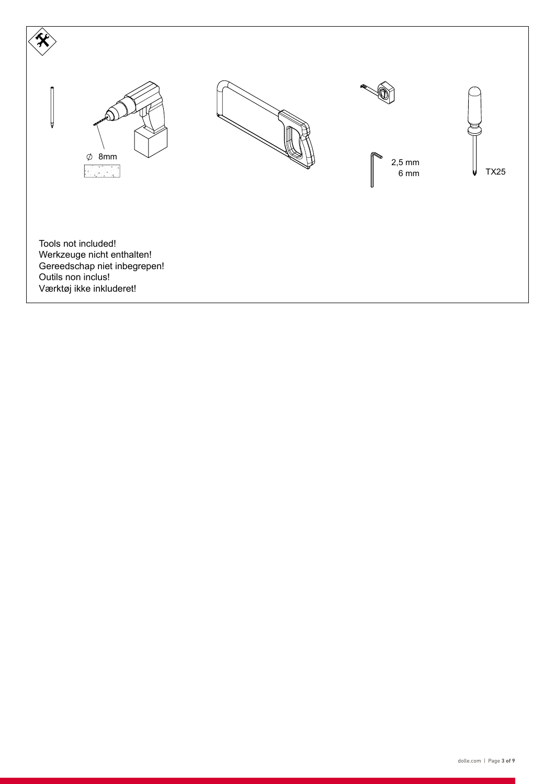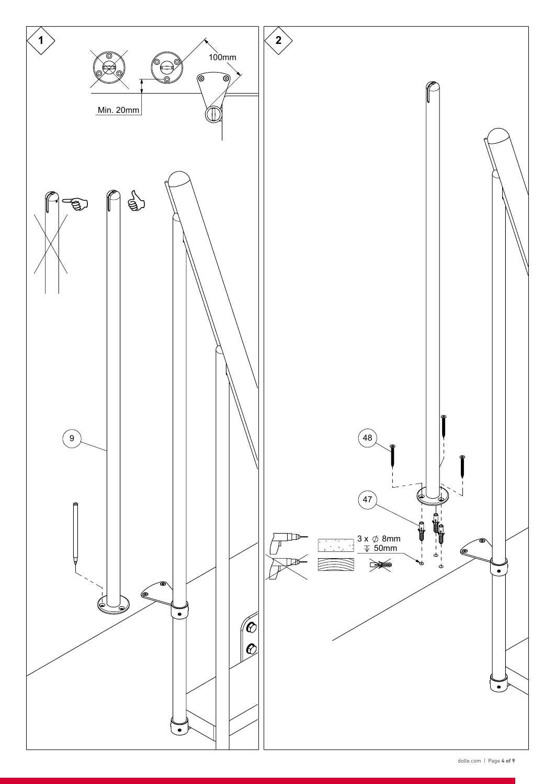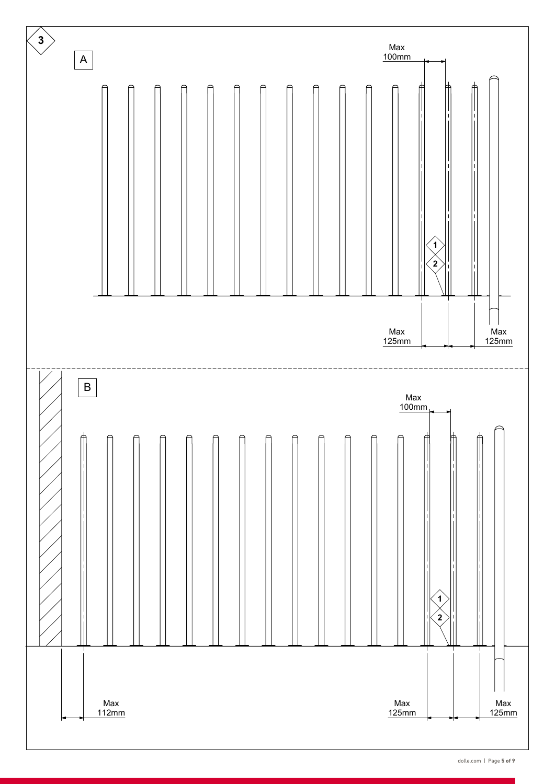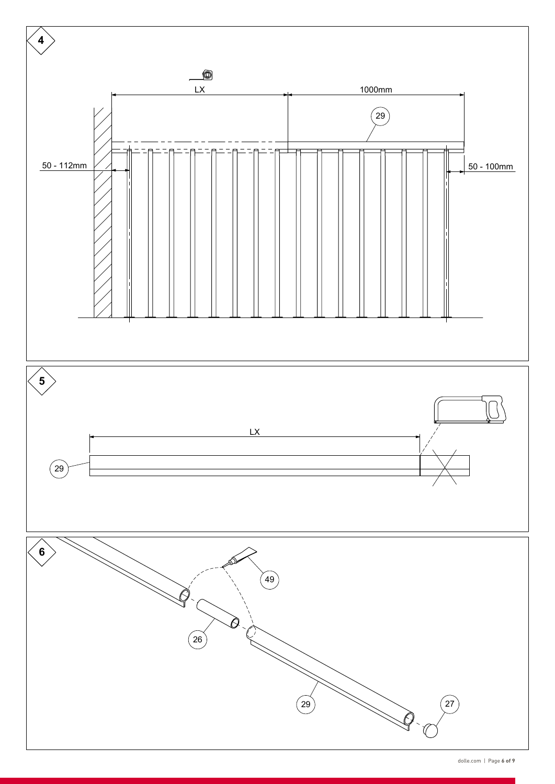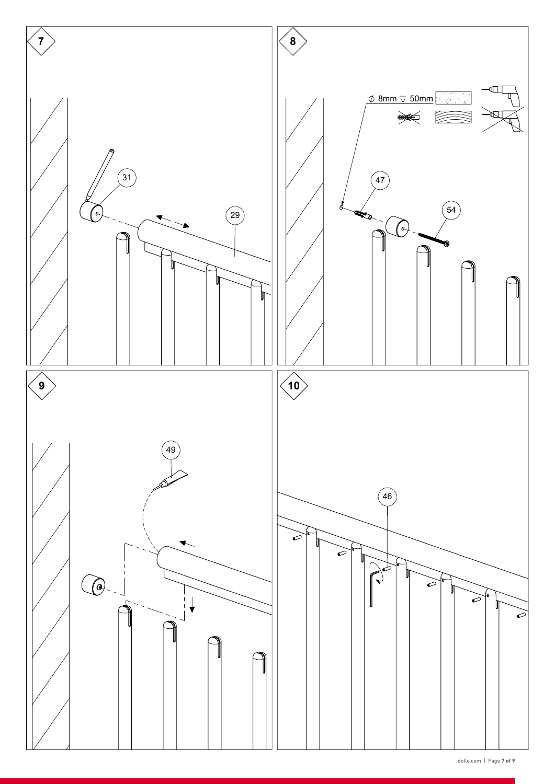

dolle.com | Page **7 of 9**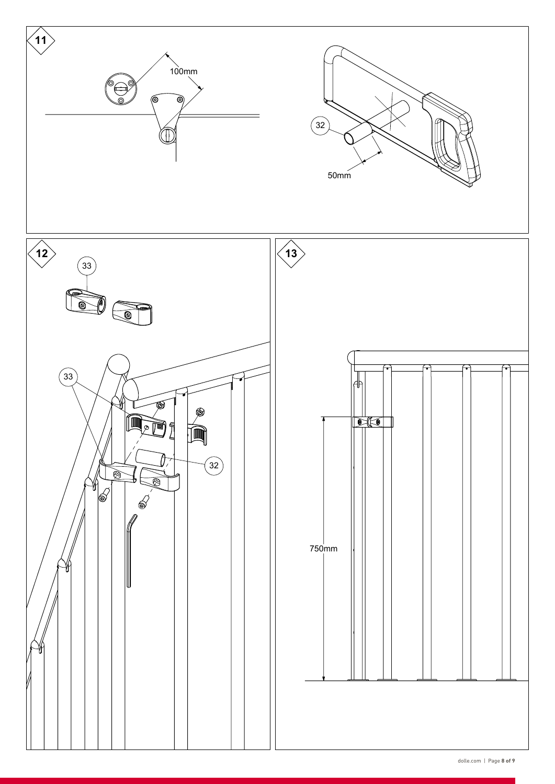